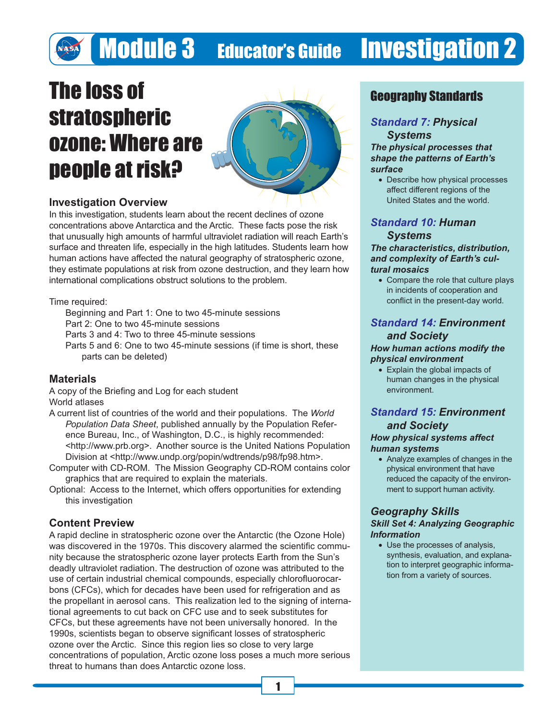## The loss of stratospheric ozone: Where are people at risk?



### **Investigation Overview**

In this investigation, students learn about the recent declines of ozone concentrations above Antarctica and the Arctic. These facts pose the risk that unusually high amounts of harmful ultraviolet radiation will reach Earth's surface and threaten life, especially in the high latitudes. Students learn how human actions have affected the natural geography of stratospheric ozone, they estimate populations at risk from ozone destruction, and they learn how international complications obstruct solutions to the problem.

Time required:

Beginning and Part 1: One to two 45-minute sessions

Part 2: One to two 45-minute sessions

Parts 3 and 4: Two to three 45-minute sessions

Parts 5 and 6: One to two 45-minute sessions (if time is short, these parts can be deleted)

### **Materials**

A copy of the Briefing and Log for each student World atlases

- A current list of countries of the world and their populations. The *World Population Data Sheet*, published annually by the Population Reference Bureau, Inc., of Washington, D.C., is highly recommended: <http://www.prb.org>. Another source is the United Nations Population Division at <http://www.undp.org/popin/wdtrends/p98/fp98.htm>.
- Computer with CD-ROM. The Mission Geography CD-ROM contains color graphics that are required to explain the materials.
- Optional: Access to the Internet, which offers opportunities for extending this investigation

### **Content Preview**

A rapid decline in stratospheric ozone over the Antarctic (the Ozone Hole) was discovered in the 1970s. This discovery alarmed the scientific community because the stratospheric ozone layer protects Earth from the Sun's deadly ultraviolet radiation. The destruction of ozone was attributed to the use of certain industrial chemical compounds, especially chlorofluorocarbons (CFCs), which for decades have been used for refrigeration and as the propellant in aerosol cans. This realization led to the signing of international agreements to cut back on CFC use and to seek substitutes for CFCs, but these agreements have not been universally honored. In the 1990s, scientists began to observe significant losses of stratospheric ozone over the Arctic. Since this region lies so close to very large concentrations of population, Arctic ozone loss poses a much more serious threat to humans than does Antarctic ozone loss.

### Geography Standards

### *Standard 7: Physical*

*Systems The physical processes that shape the patterns of Earth's surface*

• Describe how physical processes affect different regions of the United States and the world.

### *Standard 10: Human Systems*

#### *The characteristics, distribution, and complexity of Earth's cultural mosaics*

• Compare the role that culture plays in incidents of cooperation and conflict in the present-day world.

### *Standard 14: Environment and Society*

#### *How human actions modify the physical environment*

• Explain the global impacts of human changes in the physical environment.

### *Standard 15: Environment and Society How physical systems affect*

### *human systems*

• Analyze examples of changes in the physical environment that have reduced the capacity of the environment to support human activity.

### *Geography Skills Skill Set 4: Analyzing Geographic Information*

• Use the processes of analysis, synthesis, evaluation, and explanation to interpret geographic information from a variety of sources.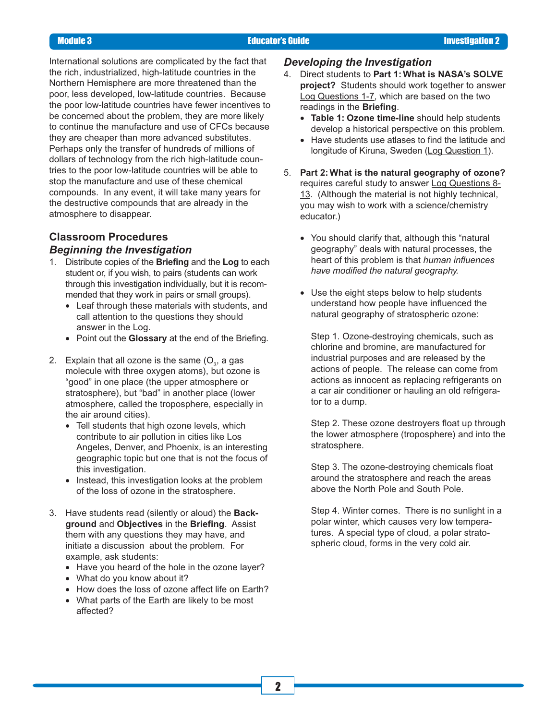International solutions are complicated by the fact that the rich, industrialized, high-latitude countries in the Northern Hemisphere are more threatened than the poor, less developed, low-latitude countries. Because the poor low-latitude countries have fewer incentives to be concerned about the problem, they are more likely to continue the manufacture and use of CFCs because they are cheaper than more advanced substitutes. Perhaps only the transfer of hundreds of millions of dollars of technology from the rich high-latitude countries to the poor low-latitude countries will be able to stop the manufacture and use of these chemical compounds. In any event, it will take many years for the destructive compounds that are already in the atmosphere to disappear.

### **Classroom Procedures** *Beginning the Investigation*

- 1. Distribute copies of the **Briefing** and the **Log** to each student or, if you wish, to pairs (students can work through this investigation individually, but it is recommended that they work in pairs or small groups).
	- Leaf through these materials with students, and call attention to the questions they should answer in the Log.
	- Point out the **Glossary** at the end of the Briefing.
- 2.  $\,$  Explain that all ozone is the same (O $_{\rm 3}$ , a gas molecule with three oxygen atoms), but ozone is "good" in one place (the upper atmosphere or stratosphere), but "bad" in another place (lower atmosphere, called the troposphere, especially in the air around cities).
	- Tell students that high ozone levels, which contribute to air pollution in cities like Los Angeles, Denver, and Phoenix, is an interesting geographic topic but one that is not the focus of this investigation.
	- Instead, this investigation looks at the problem of the loss of ozone in the stratosphere.
- 3. Have students read (silently or aloud) the **Background** and **Objectives** in the **Briefing**. Assist them with any questions they may have, and initiate a discussion about the problem. For example, ask students:
	- Have you heard of the hole in the ozone layer?
	- What do you know about it?
	- How does the loss of ozone affect life on Earth?
	- What parts of the Earth are likely to be most affected?

#### *Developing the Investigation*

- 4. Direct students to **Part 1: What is NASA's SOLVE project?** Students should work together to answer Log Questions 1-7, which are based on the two readings in the **Briefing**.
	- **Table 1: Ozone time-line** should help students develop a historical perspective on this problem.
	- Have students use atlases to find the latitude and longitude of Kiruna, Sweden (Log Question 1).
- 5. **Part 2: What is the natural geography of ozone?** requires careful study to answer Log Questions 8- 13. (Although the material is not highly technical, you may wish to work with a science/chemistry educator.)
	- You should clarify that, although this "natural geography" deals with natural processes, the heart of this problem is that *human influences have modified the natural geography.*
	- Use the eight steps below to help students understand how people have influenced the natural geography of stratospheric ozone:

Step 1. Ozone-destroying chemicals, such as chlorine and bromine, are manufactured for industrial purposes and are released by the actions of people. The release can come from actions as innocent as replacing refrigerants on a car air conditioner or hauling an old refrigerator to a dump.

Step 2. These ozone destroyers float up through the lower atmosphere (troposphere) and into the stratosphere.

Step 3. The ozone-destroying chemicals float around the stratosphere and reach the areas above the North Pole and South Pole.

Step 4. Winter comes. There is no sunlight in a polar winter, which causes very low temperatures. A special type of cloud, a polar stratospheric cloud, forms in the very cold air.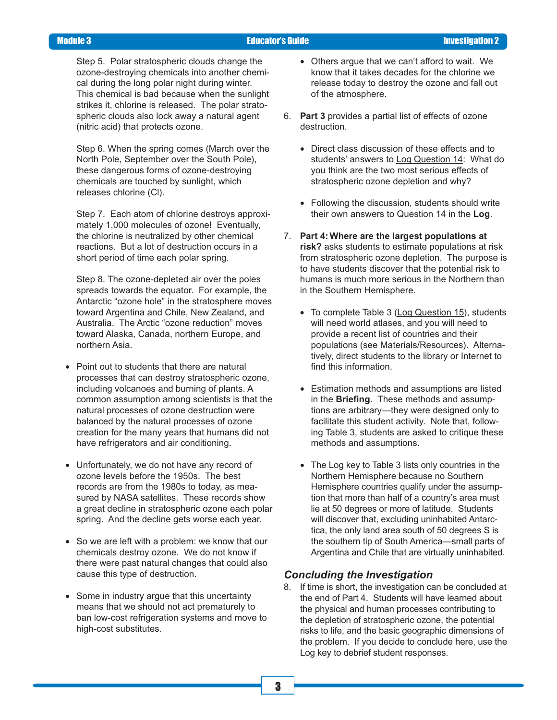Step 5. Polar stratospheric clouds change the ozone-destroying chemicals into another chemical during the long polar night during winter. This chemical is bad because when the sunlight strikes it, chlorine is released. The polar stratospheric clouds also lock away a natural agent (nitric acid) that protects ozone.

Step 6. When the spring comes (March over the North Pole, September over the South Pole), these dangerous forms of ozone-destroying chemicals are touched by sunlight, which releases chlorine (Cl).

Step 7. Each atom of chlorine destroys approximately 1,000 molecules of ozone! Eventually, the chlorine is neutralized by other chemical reactions. But a lot of destruction occurs in a short period of time each polar spring.

Step 8. The ozone-depleted air over the poles spreads towards the equator. For example, the Antarctic "ozone hole" in the stratosphere moves toward Argentina and Chile, New Zealand, and Australia. The Arctic "ozone reduction" moves toward Alaska, Canada, northern Europe, and northern Asia.

- Point out to students that there are natural processes that can destroy stratospheric ozone, including volcanoes and burning of plants. A common assumption among scientists is that the natural processes of ozone destruction were balanced by the natural processes of ozone creation for the many years that humans did not have refrigerators and air conditioning.
- Unfortunately, we do not have any record of ozone levels before the 1950s. The best records are from the 1980s to today, as measured by NASA satellites. These records show a great decline in stratospheric ozone each polar spring. And the decline gets worse each year.
- So we are left with a problem: we know that our chemicals destroy ozone. We do not know if there were past natural changes that could also cause this type of destruction.
- Some in industry argue that this uncertainty means that we should not act prematurely to ban low-cost refrigeration systems and move to high-cost substitutes.
- Others argue that we can't afford to wait. We know that it takes decades for the chlorine we release today to destroy the ozone and fall out of the atmosphere.
- 6. **Part 3** provides a partial list of effects of ozone destruction.
	- Direct class discussion of these effects and to students' answers to Log Question 14: What do you think are the two most serious effects of stratospheric ozone depletion and why?
	- Following the discussion, students should write their own answers to Question 14 in the **Log**.
- 7. **Part 4: Where are the largest populations at risk?** asks students to estimate populations at risk from stratospheric ozone depletion. The purpose is to have students discover that the potential risk to humans is much more serious in the Northern than in the Southern Hemisphere.
	- To complete Table 3 (Log Question 15), students will need world atlases, and you will need to provide a recent list of countries and their populations (see Materials/Resources). Alternatively, direct students to the library or Internet to find this information.
	- Estimation methods and assumptions are listed in the **Briefing**. These methods and assumptions are arbitrary—they were designed only to facilitate this student activity. Note that, following Table 3, students are asked to critique these methods and assumptions.
	- The Log key to Table 3 lists only countries in the Northern Hemisphere because no Southern Hemisphere countries qualify under the assumption that more than half of a country's area must lie at 50 degrees or more of latitude. Students will discover that, excluding uninhabited Antarctica, the only land area south of 50 degrees S is the southern tip of South America—small parts of Argentina and Chile that are virtually uninhabited.

### *Concluding the Investigation*

8. If time is short, the investigation can be concluded at the end of Part 4. Students will have learned about the physical and human processes contributing to the depletion of stratospheric ozone, the potential risks to life, and the basic geographic dimensions of the problem. If you decide to conclude here, use the Log key to debrief student responses.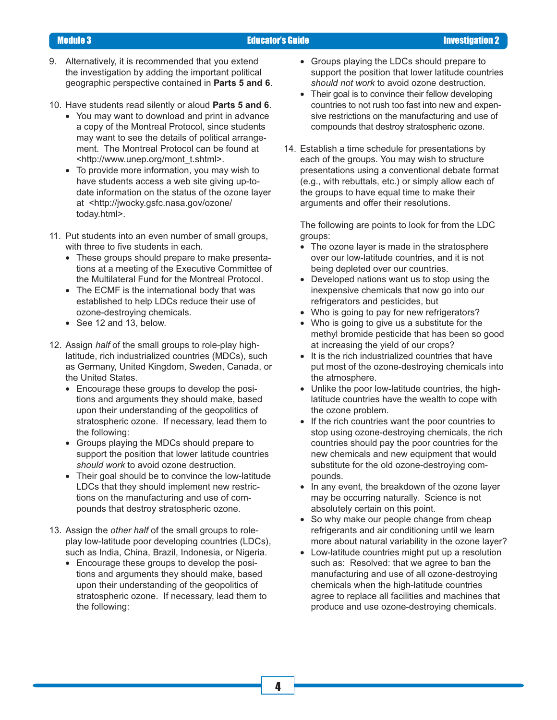- 
- 9. Alternatively, it is recommended that you extend the investigation by adding the important political geographic perspective contained in **Parts 5 and 6**.
- 10. Have students read silently or aloud **Parts 5 and 6**.
	- You may want to download and print in advance a copy of the Montreal Protocol, since students may want to see the details of political arrangement. The Montreal Protocol can be found at <http://www.unep.org/mont\_t.shtml>.
	- To provide more information, you may wish to have students access a web site giving up-todate information on the status of the ozone layer at <http://jwocky.gsfc.nasa.gov/ozone/ today.html>.
- 11. Put students into an even number of small groups, with three to five students in each.
	- These groups should prepare to make presentations at a meeting of the Executive Committee of the Multilateral Fund for the Montreal Protocol.
	- The ECMF is the international body that was established to help LDCs reduce their use of ozone-destroying chemicals.
	- See 12 and 13, below.
- 12. Assign *half* of the small groups to role-play highlatitude, rich industrialized countries (MDCs), such as Germany, United Kingdom, Sweden, Canada, or the United States.
	- Encourage these groups to develop the positions and arguments they should make, based upon their understanding of the geopolitics of stratospheric ozone. If necessary, lead them to the following:
	- Groups playing the MDCs should prepare to support the position that lower latitude countries *should work* to avoid ozone destruction.
	- Their goal should be to convince the low-latitude LDCs that they should implement new restrictions on the manufacturing and use of compounds that destroy stratospheric ozone.
- 13. Assign the *other half* of the small groups to roleplay low-latitude poor developing countries (LDCs), such as India, China, Brazil, Indonesia, or Nigeria.
	- Encourage these groups to develop the positions and arguments they should make, based upon their understanding of the geopolitics of stratospheric ozone. If necessary, lead them to the following:
- Groups playing the LDCs should prepare to support the position that lower latitude countries *should not work* to avoid ozone destruction.
- Their goal is to convince their fellow developing countries to not rush too fast into new and expensive restrictions on the manufacturing and use of compounds that destroy stratospheric ozone.
- 14. Establish a time schedule for presentations by each of the groups. You may wish to structure presentations using a conventional debate format (e.g., with rebuttals, etc.) or simply allow each of the groups to have equal time to make their arguments and offer their resolutions.

The following are points to look for from the LDC groups:

- The ozone layer is made in the stratosphere over our low-latitude countries, and it is not being depleted over our countries.
- Developed nations want us to stop using the inexpensive chemicals that now go into our refrigerators and pesticides, but
- Who is going to pay for new refrigerators?
- Who is going to give us a substitute for the methyl bromide pesticide that has been so good at increasing the yield of our crops?
- It is the rich industrialized countries that have put most of the ozone-destroying chemicals into the atmosphere.
- Unlike the poor low-latitude countries, the highlatitude countries have the wealth to cope with the ozone problem.
- If the rich countries want the poor countries to stop using ozone-destroying chemicals, the rich countries should pay the poor countries for the new chemicals and new equipment that would substitute for the old ozone-destroying compounds.
- In any event, the breakdown of the ozone layer may be occurring naturally. Science is not absolutely certain on this point.
- So why make our people change from cheap refrigerants and air conditioning until we learn more about natural variability in the ozone layer?
- Low-latitude countries might put up a resolution such as: Resolved: that we agree to ban the manufacturing and use of all ozone-destroying chemicals when the high-latitude countries agree to replace all facilities and machines that produce and use ozone-destroying chemicals.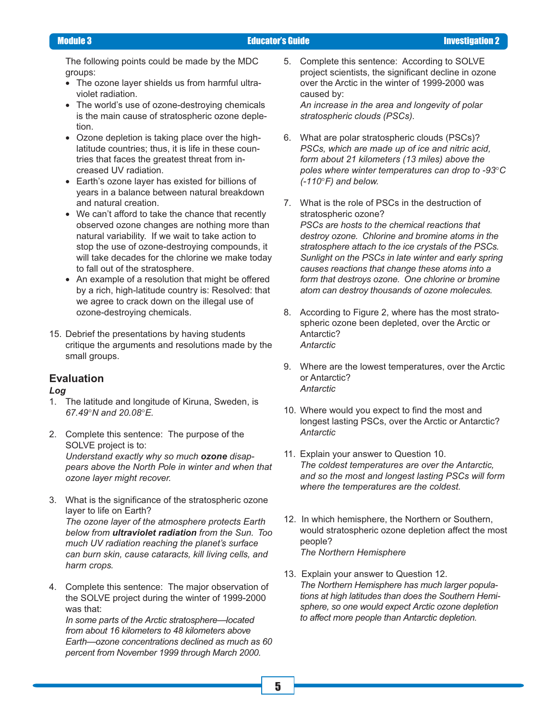The following points could be made by the MDC groups:

- The ozone layer shields us from harmful ultraviolet radiation.
- The world's use of ozone-destroying chemicals is the main cause of stratospheric ozone depletion.
- Ozone depletion is taking place over the highlatitude countries; thus, it is life in these countries that faces the greatest threat from increased UV radiation.
- Earth's ozone layer has existed for billions of years in a balance between natural breakdown and natural creation.
- We can't afford to take the chance that recently observed ozone changes are nothing more than natural variability. If we wait to take action to stop the use of ozone-destroying compounds, it will take decades for the chlorine we make today to fall out of the stratosphere.
- An example of a resolution that might be offered by a rich, high-latitude country is: Resolved: that we agree to crack down on the illegal use of ozone-destroying chemicals.
- 15. Debrief the presentations by having students critique the arguments and resolutions made by the small groups.

### **Evaluation**

#### *Log*

- 1. The latitude and longitude of Kiruna, Sweden, is *67.49*°*N and 20.08*°*E.*
- 2. Complete this sentence: The purpose of the SOLVE project is to: *Understand exactly why so much ozone disappears above the North Pole in winter and when that ozone layer might recover.*
- 3. What is the significance of the stratospheric ozone layer to life on Earth? *The ozone layer of the atmosphere protects Earth below from ultraviolet radiation from the Sun. Too much UV radiation reaching the planet's surface can burn skin, cause cataracts, kill living cells, and harm crops.*
- 4. Complete this sentence: The major observation of the SOLVE project during the winter of 1999-2000 was that:

*In some parts of the Arctic stratosphere—located from about 16 kilometers to 48 kilometers above Earth—ozone concentrations declined as much as 60 percent from November 1999 through March 2000.*

- 5. Complete this sentence: According to SOLVE project scientists, the significant decline in ozone over the Arctic in the winter of 1999-2000 was caused by: *An increase in the area and longevity of polar stratospheric clouds (PSCs).*
- 6. What are polar stratospheric clouds (PSCs)? *PSCs, which are made up of ice and nitric acid, form about 21 kilometers (13 miles) above the poles where winter temperatures can drop to -93*°*C (-110*°*F) and below.*
- 7. What is the role of PSCs in the destruction of stratospheric ozone? *PSCs are hosts to the chemical reactions that destroy ozone. Chlorine and bromine atoms in the stratosphere attach to the ice crystals of the PSCs. Sunlight on the PSCs in late winter and early spring causes reactions that change these atoms into a form that destroys ozone. One chlorine or bromine atom can destroy thousands of ozone molecules.*
- 8. According to Figure 2, where has the most stratospheric ozone been depleted, over the Arctic or Antarctic? *Antarctic*
- 9. Where are the lowest temperatures, over the Arctic or Antarctic? *Antarctic*
- 10. Where would you expect to find the most and longest lasting PSCs, over the Arctic or Antarctic? *Antarctic*
- 11. Explain your answer to Question 10. *The coldest temperatures are over the Antarctic, and so the most and longest lasting PSCs will form where the temperatures are the coldest.*
- 12. In which hemisphere, the Northern or Southern, would stratospheric ozone depletion affect the most people? *The Northern Hemisphere*
- 13. Explain your answer to Question 12. *The Northern Hemisphere has much larger populations at high latitudes than does the Southern Hemisphere, so one would expect Arctic ozone depletion to affect more people than Antarctic depletion.*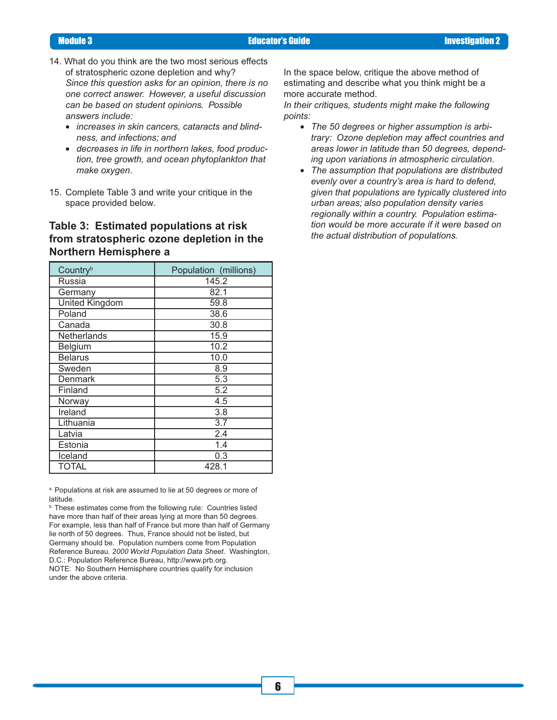- 14. What do you think are the two most serious effects of stratospheric ozone depletion and why? *Since this question asks for an opinion, there is no one correct answer. However, a useful discussion can be based on student opinions. Possible answers include:*
	- *increases in skin cancers, cataracts and blindness, and infections; and*
	- *decreases in life in northern lakes, food production, tree growth, and ocean phytoplankton that make oxygen.*
- 15. Complete Table 3 and write your critique in the space provided below.

### **Table 3: Estimated populations at risk from stratospheric ozone depletion in the Northern Hemisphere a**

| Country <sup>b</sup>  | Population (millions) |
|-----------------------|-----------------------|
| Russia                | 145.2                 |
| Germany               | 82.1                  |
| <b>United Kingdom</b> | 59.8                  |
| Poland                | 38.6                  |
| Canada                | 30.8                  |
| Netherlands           | 15.9                  |
| Belgium               | 10.2                  |
| <b>Belarus</b>        | 10.0                  |
| Sweden                | 8.9                   |
| Denmark               | 5.3                   |
| Finland               | 5.2                   |
| Norway                | 4.5                   |
| Ireland               | 3.8                   |
| Lithuania             | $\overline{3.7}$      |
| Latvia                | 2.4                   |
| Estonia               | 1.4                   |
| Iceland               | 0.3                   |
| <b>TOTAL</b>          | 428.1                 |

a. Populations at risk are assumed to lie at 50 degrees or more of latitude.

**b.** These estimates come from the following rule: Countries listed have more than half of their areas lying at more than 50 degrees. For example, less than half of France but more than half of Germany lie north of 50 degrees. Thus, France should not be listed, but Germany should be. Population numbers come from Population Reference Bureau. *2000 World Population Data Sheet.* Washington, D.C.: Population Reference Bureau, http://www.prb.org. NOTE: No Southern Hemisphere countries qualify for inclusion under the above criteria.

In the space below, critique the above method of estimating and describe what you think might be a more accurate method.

*In their critiques, students might make the following points:*

- *The 50 degrees or higher assumption is arbitrary: Ozone depletion may affect countries and areas lower in latitude than 50 degrees, depending upon variations in atmospheric circulation.*
- *The assumption that populations are distributed evenly over a country's area is hard to defend, given that populations are typically clustered into urban areas; also population density varies regionally within a country. Population estimation would be more accurate if it were based on the actual distribution of populations.*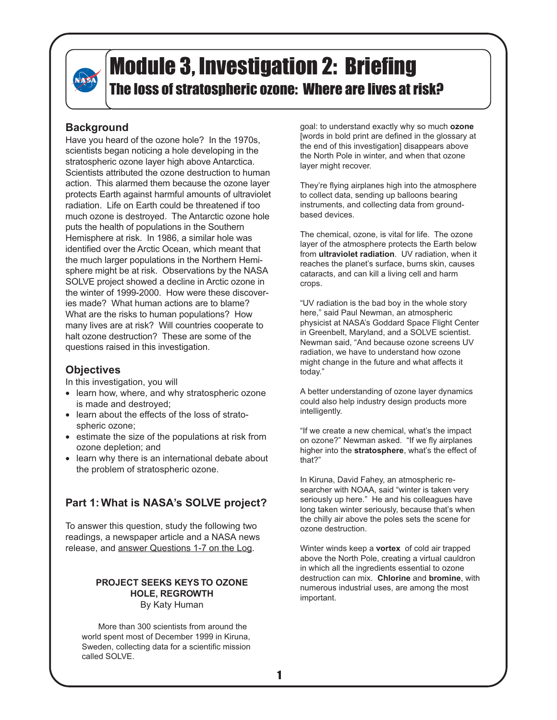

### **Background**

Have you heard of the ozone hole? In the 1970s, scientists began noticing a hole developing in the stratospheric ozone layer high above Antarctica. Scientists attributed the ozone destruction to human action. This alarmed them because the ozone layer protects Earth against harmful amounts of ultraviolet radiation. Life on Earth could be threatened if too much ozone is destroyed. The Antarctic ozone hole puts the health of populations in the Southern Hemisphere at risk. In 1986, a similar hole was identified over the Arctic Ocean, which meant that the much larger populations in the Northern Hemisphere might be at risk. Observations by the NASA SOLVE project showed a decline in Arctic ozone in the winter of 1999-2000. How were these discoveries made? What human actions are to blame? What are the risks to human populations? How many lives are at risk? Will countries cooperate to halt ozone destruction? These are some of the questions raised in this investigation.

### **Objectives**

In this investigation, you will

- learn how, where, and why stratospheric ozone is made and destroyed;
- learn about the effects of the loss of stratospheric ozone;
- estimate the size of the populations at risk from ozone depletion; and
- learn why there is an international debate about the problem of stratospheric ozone.

### **Part 1: What is NASA's SOLVE project?**

To answer this question, study the following two readings, a newspaper article and a NASA news release, and answer Questions 1-7 on the Log.

#### **PROJECT SEEKS KEYS TO OZONE HOLE, REGROWTH** By Katy Human

More than 300 scientists from around the world spent most of December 1999 in Kiruna, Sweden, collecting data for a scientific mission called SOLVE.

goal: to understand exactly why so much **ozone** [words in bold print are defined in the glossary at the end of this investigation] disappears above the North Pole in winter, and when that ozone layer might recover.

They're flying airplanes high into the atmosphere to collect data, sending up balloons bearing instruments, and collecting data from groundbased devices.

The chemical, ozone, is vital for life. The ozone layer of the atmosphere protects the Earth below from **ultraviolet radiation**. UV radiation, when it reaches the planet's surface, burns skin, causes cataracts, and can kill a living cell and harm crops.

"UV radiation is the bad boy in the whole story here," said Paul Newman, an atmospheric physicist at NASA's Goddard Space Flight Center in Greenbelt, Maryland, and a SOLVE scientist. Newman said, "And because ozone screens UV radiation, we have to understand how ozone might change in the future and what affects it today."

A better understanding of ozone layer dynamics could also help industry design products more intelligently.

"If we create a new chemical, what's the impact on ozone?" Newman asked. "If we fly airplanes higher into the **stratosphere**, what's the effect of that?"

In Kiruna, David Fahey, an atmospheric researcher with NOAA, said "winter is taken very seriously up here." He and his colleagues have long taken winter seriously, because that's when the chilly air above the poles sets the scene for ozone destruction.

Winter winds keep a **vortex** of cold air trapped above the North Pole, creating a virtual cauldron in which all the ingredients essential to ozone destruction can mix. **Chlorine** and **bromine**, with numerous industrial uses, are among the most important.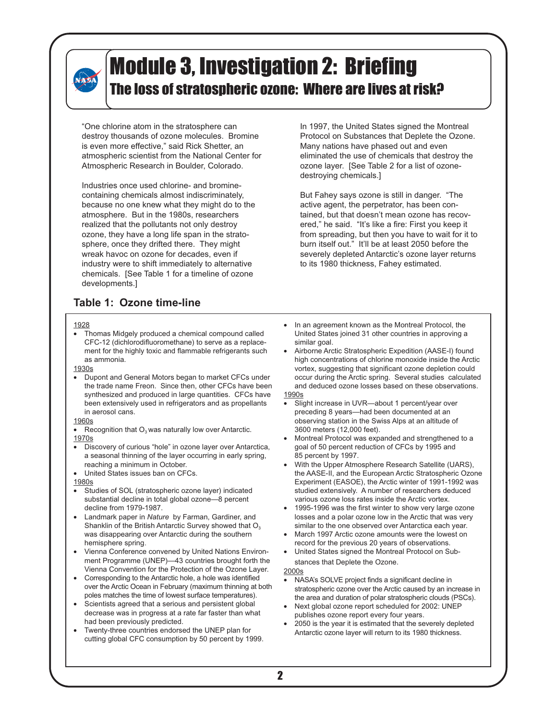"One chlorine atom in the stratosphere can destroy thousands of ozone molecules. Bromine is even more effective," said Rick Shetter, an atmospheric scientist from the National Center for Atmospheric Research in Boulder, Colorado.

Industries once used chlorine- and brominecontaining chemicals almost indiscriminately, because no one knew what they might do to the atmosphere. But in the 1980s, researchers realized that the pollutants not only destroy ozone, they have a long life span in the stratosphere, once they drifted there. They might wreak havoc on ozone for decades, even if industry were to shift immediately to alternative chemicals. [See Table 1 for a timeline of ozone developments.]

**Table 1: Ozone time-line**

#### 1928

**NASA** 

• Thomas Midgely produced a chemical compound called CFC-12 (dichlorodifluoromethane) to serve as a replacement for the highly toxic and flammable refrigerants such as ammonia.

1930s

• Dupont and General Motors began to market CFCs under the trade name Freon. Since then, other CFCs have been synthesized and produced in large quantities. CFCs have been extensively used in refrigerators and as propellants in aerosol cans.

#### 1960s

- Recognition that  $O_3$  was naturally low over Antarctic. 1970s
- Discovery of curious "hole" in ozone layer over Antarctica, a seasonal thinning of the layer occurring in early spring, reaching a minimum in October.
- United States issues ban on CFCs.

1980s

- Studies of SOL (stratospheric ozone layer) indicated substantial decline in total global ozone—8 percent decline from 1979-1987.
- Landmark paper in *Nature* by Farman, Gardiner, and Shanklin of the British Antarctic Survey showed that  $O<sub>3</sub>$ was disappearing over Antarctic during the southern hemisphere spring.
- Vienna Conference convened by United Nations Environment Programme (UNEP)—43 countries brought forth the Vienna Convention for the Protection of the Ozone Layer.
- Corresponding to the Antarctic hole, a hole was identified over the Arctic Ocean in February (maximum thinning at both poles matches the time of lowest surface temperatures).
- Scientists agreed that a serious and persistent global decrease was in progress at a rate far faster than what had been previously predicted.
- Twenty-three countries endorsed the UNEP plan for cutting global CFC consumption by 50 percent by 1999.

In 1997, the United States signed the Montreal Protocol on Substances that Deplete the Ozone. Many nations have phased out and even eliminated the use of chemicals that destroy the ozone layer. [See Table 2 for a list of ozonedestroying chemicals.]

But Fahey says ozone is still in danger. "The active agent, the perpetrator, has been contained, but that doesn't mean ozone has recovered," he said. "It's like a fire: First you keep it from spreading, but then you have to wait for it to burn itself out." It'll be at least 2050 before the severely depleted Antarctic's ozone layer returns to its 1980 thickness, Fahey estimated.

- In an agreement known as the Montreal Protocol, the United States joined 31 other countries in approving a similar goal.
- Airborne Arctic Stratospheric Expedition (AASE-I) found high concentrations of chlorine monoxide inside the Arctic vortex, suggesting that significant ozone depletion could occur during the Arctic spring. Several studies calculated and deduced ozone losses based on these observations. 1990s
- Slight increase in UVR—about 1 percent/year over preceding 8 years—had been documented at an observing station in the Swiss Alps at an altitude of 3600 meters (12,000 feet).
- Montreal Protocol was expanded and strengthened to a goal of 50 percent reduction of CFCs by 1995 and 85 percent by 1997.
- With the Upper Atmosphere Research Satellite (UARS), the AASE-II, and the European Arctic Stratospheric Ozone Experiment (EASOE), the Arctic winter of 1991-1992 was studied extensively. A number of researchers deduced various ozone loss rates inside the Arctic vortex.
- 1995-1996 was the first winter to show very large ozone losses and a polar ozone low in the Arctic that was very similar to the one observed over Antarctica each year.
- March 1997 Arctic ozone amounts were the lowest on record for the previous 20 years of observations.
- United States signed the Montreal Protocol on Substances that Deplete the Ozone.

#### 2000s

- NASA's SOLVE project finds a significant decline in stratospheric ozone over the Arctic caused by an increase in the area and duration of polar stratospheric clouds (PSCs).
- Next global ozone report scheduled for 2002: UNEP publishes ozone report every four years.
- 2050 is the year it is estimated that the severely depleted Antarctic ozone layer will return to its 1980 thickness.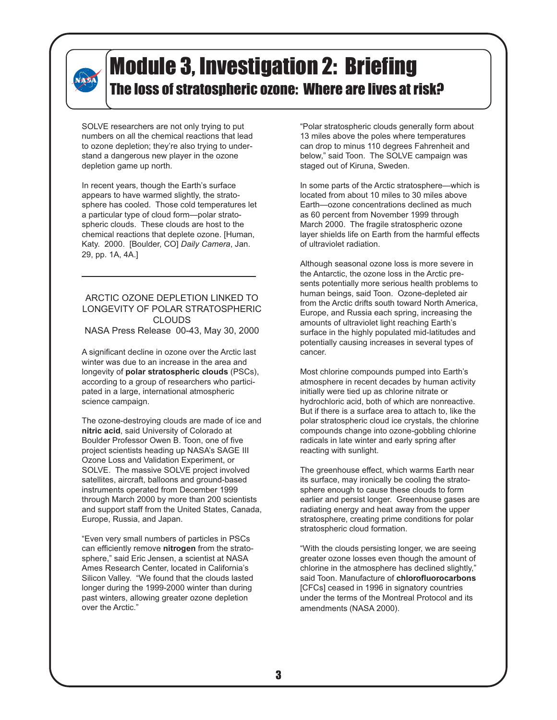# **NASA**

### Module 3, Investigation 2: Briefing The loss of stratospheric ozone: Where are lives at risk?

SOLVE researchers are not only trying to put numbers on all the chemical reactions that lead to ozone depletion; they're also trying to understand a dangerous new player in the ozone depletion game up north.

In recent years, though the Earth's surface appears to have warmed slightly, the stratosphere has cooled. Those cold temperatures let a particular type of cloud form—polar stratospheric clouds. These clouds are host to the chemical reactions that deplete ozone. [Human, Katy. 2000. [Boulder, CO] *Daily Camera*, Jan. 29, pp. 1A, 4A.]

### ARCTIC OZONE DEPLETION LINKED TO LONGEVITY OF POLAR STRATOSPHERIC CLOUDS

NASA Press Release 00-43, May 30, 2000

A significant decline in ozone over the Arctic last winter was due to an increase in the area and longevity of **polar stratospheric clouds** (PSCs), according to a group of researchers who participated in a large, international atmospheric science campaign.

The ozone-destroying clouds are made of ice and **nitric acid**, said University of Colorado at Boulder Professor Owen B. Toon, one of five project scientists heading up NASA's SAGE III Ozone Loss and Validation Experiment, or SOLVE. The massive SOLVE project involved satellites, aircraft, balloons and ground-based instruments operated from December 1999 through March 2000 by more than 200 scientists and support staff from the United States, Canada, Europe, Russia, and Japan.

"Even very small numbers of particles in PSCs can efficiently remove **nitrogen** from the stratosphere," said Eric Jensen, a scientist at NASA Ames Research Center, located in California's Silicon Valley. "We found that the clouds lasted longer during the 1999-2000 winter than during past winters, allowing greater ozone depletion over the Arctic."

"Polar stratospheric clouds generally form about 13 miles above the poles where temperatures can drop to minus 110 degrees Fahrenheit and below," said Toon. The SOLVE campaign was staged out of Kiruna, Sweden.

In some parts of the Arctic stratosphere—which is located from about 10 miles to 30 miles above Earth—ozone concentrations declined as much as 60 percent from November 1999 through March 2000. The fragile stratospheric ozone layer shields life on Earth from the harmful effects of ultraviolet radiation.

Although seasonal ozone loss is more severe in the Antarctic, the ozone loss in the Arctic presents potentially more serious health problems to human beings, said Toon. Ozone-depleted air from the Arctic drifts south toward North America, Europe, and Russia each spring, increasing the amounts of ultraviolet light reaching Earth's surface in the highly populated mid-latitudes and potentially causing increases in several types of cancer.

Most chlorine compounds pumped into Earth's atmosphere in recent decades by human activity initially were tied up as chlorine nitrate or hydrochloric acid, both of which are nonreactive. But if there is a surface area to attach to, like the polar stratospheric cloud ice crystals, the chlorine compounds change into ozone-gobbling chlorine radicals in late winter and early spring after reacting with sunlight.

The greenhouse effect, which warms Earth near its surface, may ironically be cooling the stratosphere enough to cause these clouds to form earlier and persist longer. Greenhouse gases are radiating energy and heat away from the upper stratosphere, creating prime conditions for polar stratospheric cloud formation.

"With the clouds persisting longer, we are seeing greater ozone losses even though the amount of chlorine in the atmosphere has declined slightly," said Toon. Manufacture of **chlorofluorocarbons** [CFCs] ceased in 1996 in signatory countries under the terms of the Montreal Protocol and its amendments (NASA 2000).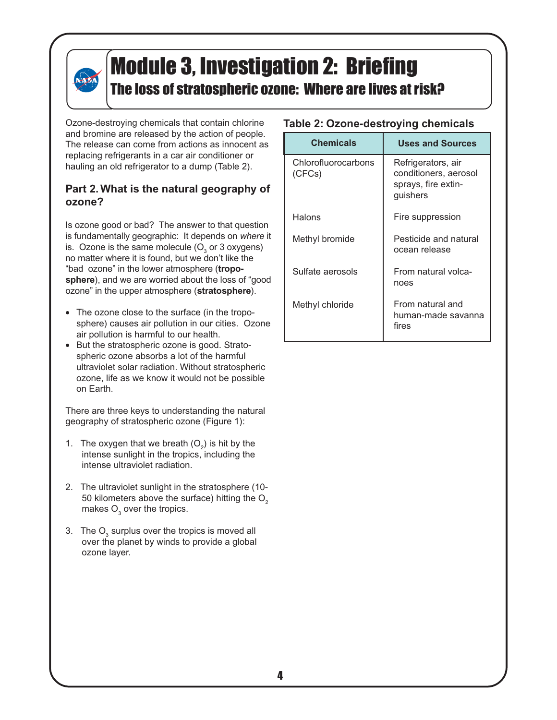# NASA

# Module 3, Investigation 2: Briefing

### The loss of stratospheric ozone: Where are lives at risk?

Ozone-destroying chemicals that contain chlorine and bromine are released by the action of people. The release can come from actions as innocent as replacing refrigerants in a car air conditioner or hauling an old refrigerator to a dump (Table 2).

### **Part 2. What is the natural geography of ozone?**

Is ozone good or bad? The answer to that question is fundamentally geographic: It depends on *where* it is. Ozone is the same molecule (O $_{\tiny 3}$  or 3 oxygens) no matter where it is found, but we don't like the "bad ozone" in the lower atmosphere (**tropo**sphere), and we are worried about the loss of "good ozone" in the upper atmosphere (**stratosphere**).

- The ozone close to the surface (in the troposphere) causes air pollution in our cities. Ozone air pollution is harmful to our health.
- But the stratospheric ozone is good. Stratospheric ozone absorbs a lot of the harmful ultraviolet solar radiation. Without stratospheric ozone, life as we know it would not be possible on Earth.

There are three keys to understanding the natural geography of stratospheric ozone (Figure 1):

- 1. The oxygen that we breath  $(O_2)$  is hit by the intense sunlight in the tropics, including the intense ultraviolet radiation.
- 2. The ultraviolet sunlight in the stratosphere (10- 50 kilometers above the surface) hitting the  $O<sub>2</sub>$ makes  $\mathsf{O}_{_{\!3}}$  over the tropics.
- 3. The  ${\mathsf O}_{_{\!3}}$  surplus over the tropics is moved all over the planet by winds to provide a global ozone layer.

### **Table 2: Ozone-destroying chemicals**

| <b>Chemicals</b>              | <b>Uses and Sources</b>                                                        |
|-------------------------------|--------------------------------------------------------------------------------|
| Chlorofluorocarbons<br>(CFCs) | Refrigerators, air<br>conditioners, aerosol<br>sprays, fire extin-<br>guishers |
| Halons                        | Fire suppression                                                               |
| Methyl bromide                | Pesticide and natural<br>ocean release                                         |
| Sulfate aerosols              | From natural volca-<br>noes                                                    |
| Methyl chloride               | From natural and<br>human-made savanna<br>fires                                |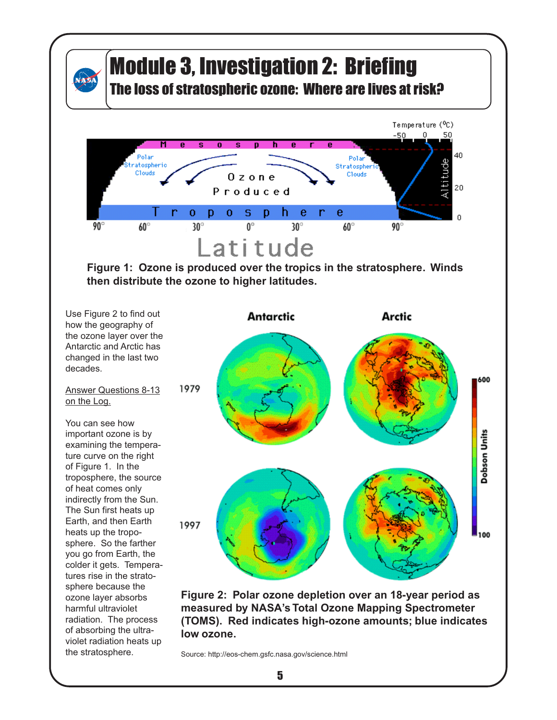

## Module 3, Investigation 2: Briefing

The loss of stratospheric ozone: Where are lives at risk?



**Figure 1: Ozone is produced over the tropics in the stratosphere. Winds then distribute the ozone to higher latitudes.**

Use Figure 2 to find out how the geography of the ozone layer over the Antarctic and Arctic has changed in the last two decades.

#### Answer Questions 8-13 on the Log.

You can see how important ozone is by examining the temperature curve on the right of Figure 1. In the troposphere, the source of heat comes only indirectly from the Sun. The Sun first heats up Earth, and then Earth heats up the troposphere. So the farther you go from Earth, the colder it gets. Temperatures rise in the stratosphere because the ozone layer absorbs harmful ultraviolet radiation. The process of absorbing the ultraviolet radiation heats up the stratosphere.



**Figure 2: Polar ozone depletion over an 18-year period as measured by NASA's Total Ozone Mapping Spectrometer (TOMS). Red indicates high-ozone amounts; blue indicates low ozone.**

Source: http://eos-chem.gsfc.nasa.gov/science.html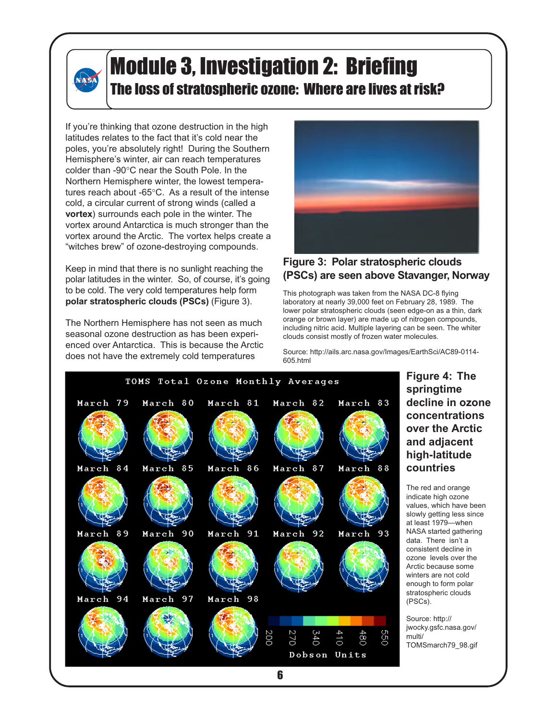If you're thinking that ozone destruction in the high latitudes relates to the fact that it's cold near the poles, you're absolutely right! During the Southern Hemisphere's winter, air can reach temperatures colder than -90°C near the South Pole. In the Northern Hemisphere winter, the lowest temperatures reach about -65°C. As a result of the intense cold, a circular current of strong winds (called a **vortex**) surrounds each pole in the winter. The vortex around Antarctica is much stronger than the vortex around the Arctic. The vortex helps create a "witches brew" of ozone-destroying compounds.

**NASA** 

Keep in mind that there is no sunlight reaching the polar latitudes in the winter. So, of course, it's going to be cold. The very cold temperatures help form **polar stratospheric clouds (PSCs)** (Figure 3).

The Northern Hemisphere has not seen as much seasonal ozone destruction as has been experienced over Antarctica. This is because the Arctic does not have the extremely cold temperatures



### **Figure 3: Polar stratospheric clouds (PSCs) are seen above Stavanger, Norway**

This photograph was taken from the NASA DC-8 flying laboratory at nearly 39,000 feet on February 28, 1989. The lower polar stratospheric clouds (seen edge-on as a thin, dark orange or brown layer) are made up of nitrogen compounds, including nitric acid. Multiple layering can be seen. The whiter clouds consist mostly of frozen water molecules.

Source: http://ails.arc.nasa.gov/Images/EarthSci/AC89-0114- 605.html



12

### **Figure 4: The springtime decline in ozone concentrations over the Arctic and adjacent high-latitude countries**

The red and orange indicate high ozone values, which have been slowly getting less since at least 1979—when NASA started gathering data. There isn't a consistent decline in ozone levels over the Arctic because some winters are not cold enough to form polar stratospheric clouds (PSCs).

Source: http:// jwocky.gsfc.nasa.gov/ multi/ TOMSmarch79\_98.gif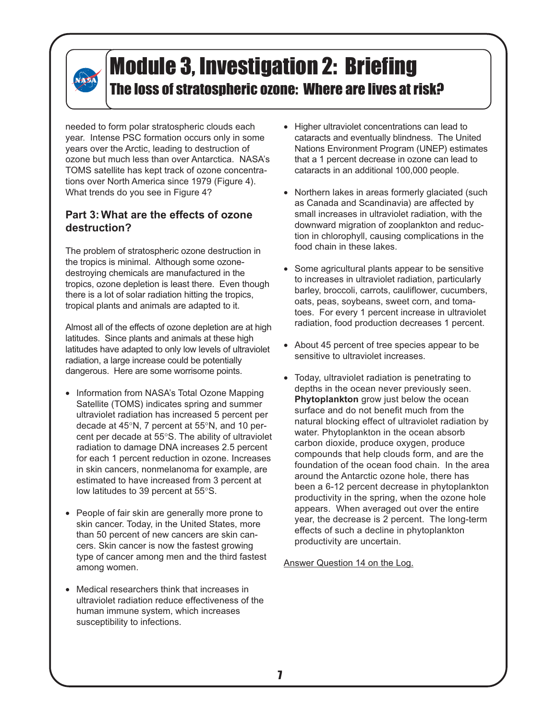# **NASA**

### Module 3, Investigation 2: Briefing The loss of stratospheric ozone: Where are lives at risk?

needed to form polar stratospheric clouds each year. Intense PSC formation occurs only in some years over the Arctic, leading to destruction of ozone but much less than over Antarctica. NASA's TOMS satellite has kept track of ozone concentrations over North America since 1979 (Figure 4). What trends do you see in Figure 4?

### **Part 3: What are the effects of ozone destruction?**

The problem of stratospheric ozone destruction in the tropics is minimal. Although some ozonedestroying chemicals are manufactured in the tropics, ozone depletion is least there. Even though there is a lot of solar radiation hitting the tropics, tropical plants and animals are adapted to it.

Almost all of the effects of ozone depletion are at high latitudes. Since plants and animals at these high latitudes have adapted to only low levels of ultraviolet radiation, a large increase could be potentially dangerous. Here are some worrisome points.

- Information from NASA's Total Ozone Mapping Satellite (TOMS) indicates spring and summer ultraviolet radiation has increased 5 percent per decade at 45°N, 7 percent at 55°N, and 10 percent per decade at 55°S. The ability of ultraviolet radiation to damage DNA increases 2.5 percent for each 1 percent reduction in ozone. Increases in skin cancers, nonmelanoma for example, are estimated to have increased from 3 percent at low latitudes to 39 percent at 55°S.
- People of fair skin are generally more prone to skin cancer. Today, in the United States, more than 50 percent of new cancers are skin cancers. Skin cancer is now the fastest growing type of cancer among men and the third fastest among women.
- Medical researchers think that increases in ultraviolet radiation reduce effectiveness of the human immune system, which increases susceptibility to infections.
- Higher ultraviolet concentrations can lead to cataracts and eventually blindness. The United Nations Environment Program (UNEP) estimates that a 1 percent decrease in ozone can lead to cataracts in an additional 100,000 people.
- Northern lakes in areas formerly glaciated (such as Canada and Scandinavia) are affected by small increases in ultraviolet radiation, with the downward migration of zooplankton and reduction in chlorophyll, causing complications in the food chain in these lakes.
- Some agricultural plants appear to be sensitive to increases in ultraviolet radiation, particularly barley, broccoli, carrots, cauliflower, cucumbers, oats, peas, soybeans, sweet corn, and tomatoes. For every 1 percent increase in ultraviolet radiation, food production decreases 1 percent.
- About 45 percent of tree species appear to be sensitive to ultraviolet increases.
- Today, ultraviolet radiation is penetrating to depths in the ocean never previously seen. **Phytoplankton** grow just below the ocean surface and do not benefit much from the natural blocking effect of ultraviolet radiation by water. Phytoplankton in the ocean absorb carbon dioxide, produce oxygen, produce compounds that help clouds form, and are the foundation of the ocean food chain. In the area around the Antarctic ozone hole, there has been a 6-12 percent decrease in phytoplankton productivity in the spring, when the ozone hole appears. When averaged out over the entire year, the decrease is 2 percent. The long-term effects of such a decline in phytoplankton productivity are uncertain.

Answer Question 14 on the Log.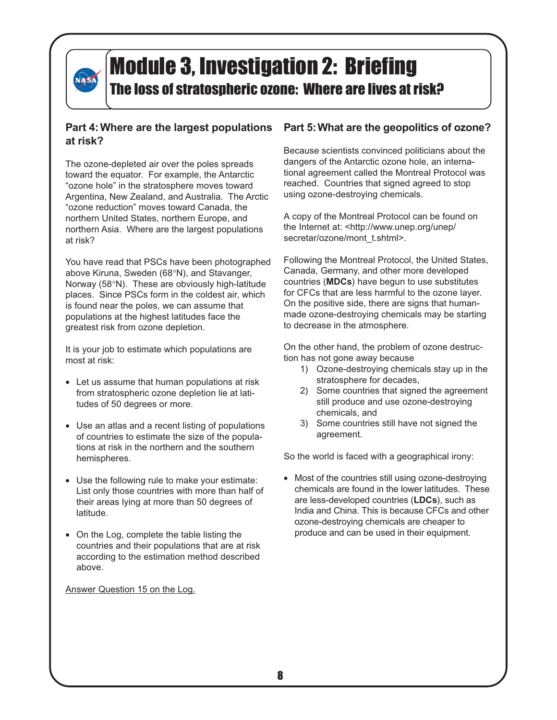

# Module 3, Investigation 2: Briefing

### The loss of stratospheric ozone: Where are lives at risk?

### **Part 4: Where are the largest populations at risk?**

The ozone-depleted air over the poles spreads toward the equator. For example, the Antarctic "ozone hole" in the stratosphere moves toward Argentina, New Zealand, and Australia. The Arctic "ozone reduction" moves toward Canada, the northern United States, northern Europe, and northern Asia. Where are the largest populations at risk?

You have read that PSCs have been photographed above Kiruna, Sweden (68°N), and Stavanger, Norway (58°N). These are obviously high-latitude places. Since PSCs form in the coldest air, which is found near the poles, we can assume that populations at the highest latitudes face the greatest risk from ozone depletion.

It is your job to estimate which populations are most at risk:

- Let us assume that human populations at risk from stratospheric ozone depletion lie at latitudes of 50 degrees or more.
- Use an atlas and a recent listing of populations of countries to estimate the size of the populations at risk in the northern and the southern hemispheres.
- Use the following rule to make your estimate: List only those countries with more than half of their areas lying at more than 50 degrees of latitude.
- On the Log, complete the table listing the countries and their populations that are at risk according to the estimation method described above.

Answer Question 15 on the Log.

### **Part 5: What are the geopolitics of ozone?**

Because scientists convinced politicians about the dangers of the Antarctic ozone hole, an international agreement called the Montreal Protocol was reached. Countries that signed agreed to stop using ozone-destroying chemicals.

A copy of the Montreal Protocol can be found on the Internet at: <http://www.unep.org/unep/ secretar/ozone/mont\_t.shtml>.

Following the Montreal Protocol, the United States, Canada, Germany, and other more developed countries (**MDCs**) have begun to use substitutes for CFCs that are less harmful to the ozone layer. On the positive side, there are signs that humanmade ozone-destroying chemicals may be starting to decrease in the atmosphere.

On the other hand, the problem of ozone destruction has not gone away because

- 1) Ozone-destroying chemicals stay up in the stratosphere for decades,
- 2) Some countries that signed the agreement still produce and use ozone-destroying chemicals, and
- 3) Some countries still have not signed the agreement.

So the world is faced with a geographical irony:

• Most of the countries still using ozone-destroying chemicals are found in the lower latitudes. These are less-developed countries (**LDCs**), such as India and China. This is because CFCs and other ozone-destroying chemicals are cheaper to produce and can be used in their equipment.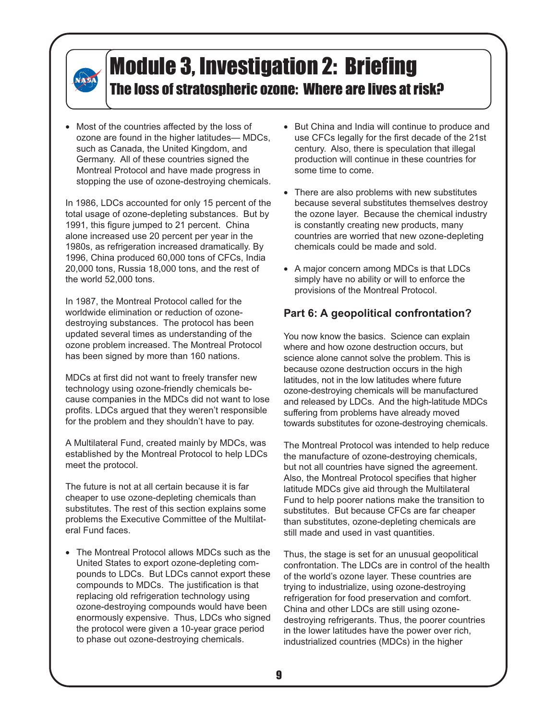• Most of the countries affected by the loss of ozone are found in the higher latitudes— MDCs, such as Canada, the United Kingdom, and Germany. All of these countries signed the Montreal Protocol and have made progress in stopping the use of ozone-destroying chemicals.

**NASA** 

In 1986, LDCs accounted for only 15 percent of the total usage of ozone-depleting substances. But by 1991, this figure jumped to 21 percent. China alone increased use 20 percent per year in the 1980s, as refrigeration increased dramatically. By 1996, China produced 60,000 tons of CFCs, India 20,000 tons, Russia 18,000 tons, and the rest of the world 52,000 tons.

In 1987, the Montreal Protocol called for the worldwide elimination or reduction of ozonedestroying substances. The protocol has been updated several times as understanding of the ozone problem increased. The Montreal Protocol has been signed by more than 160 nations.

MDCs at first did not want to freely transfer new technology using ozone-friendly chemicals because companies in the MDCs did not want to lose profits. LDCs argued that they weren't responsible for the problem and they shouldn't have to pay.

A Multilateral Fund, created mainly by MDCs, was established by the Montreal Protocol to help LDCs meet the protocol.

The future is not at all certain because it is far cheaper to use ozone-depleting chemicals than substitutes. The rest of this section explains some problems the Executive Committee of the Multilateral Fund faces.

• The Montreal Protocol allows MDCs such as the United States to export ozone-depleting compounds to LDCs. But LDCs cannot export these compounds to MDCs. The justification is that replacing old refrigeration technology using ozone-destroying compounds would have been enormously expensive. Thus, LDCs who signed the protocol were given a 10-year grace period to phase out ozone-destroying chemicals.

- But China and India will continue to produce and use CFCs legally for the first decade of the 21st century. Also, there is speculation that illegal production will continue in these countries for some time to come.
- There are also problems with new substitutes because several substitutes themselves destroy the ozone layer. Because the chemical industry is constantly creating new products, many countries are worried that new ozone-depleting chemicals could be made and sold.
- A major concern among MDCs is that LDCs simply have no ability or will to enforce the provisions of the Montreal Protocol.

### **Part 6: A geopolitical confrontation?**

You now know the basics. Science can explain where and how ozone destruction occurs, but science alone cannot solve the problem. This is because ozone destruction occurs in the high latitudes, not in the low latitudes where future ozone-destroying chemicals will be manufactured and released by LDCs. And the high-latitude MDCs suffering from problems have already moved towards substitutes for ozone-destroying chemicals.

The Montreal Protocol was intended to help reduce the manufacture of ozone-destroying chemicals, but not all countries have signed the agreement. Also, the Montreal Protocol specifies that higher latitude MDCs give aid through the Multilateral Fund to help poorer nations make the transition to substitutes. But because CFCs are far cheaper than substitutes, ozone-depleting chemicals are still made and used in vast quantities.

Thus, the stage is set for an unusual geopolitical confrontation. The LDCs are in control of the health of the world's ozone layer. These countries are trying to industrialize, using ozone-destroying refrigeration for food preservation and comfort. China and other LDCs are still using ozonedestroying refrigerants. Thus, the poorer countries in the lower latitudes have the power over rich, industrialized countries (MDCs) in the higher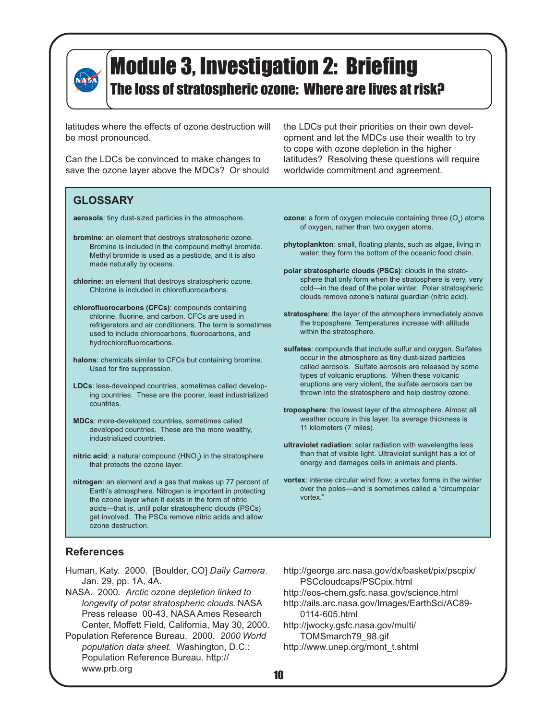

latitudes where the effects of ozone destruction will be most pronounced.

Can the LDCs be convinced to make changes to save the ozone layer above the MDCs? Or should

the LDCs put their priorities on their own development and let the MDCs use their wealth to try to cope with ozone depletion in the higher latitudes? Resolving these questions will require worldwide commitment and agreement.

### **GLOSSARY**

**aerosols**: tiny dust-sized particles in the atmosphere.

- **bromine**: an element that destroys stratospheric ozone. Bromine is included in the compound methyl bromide. Methyl bromide is used as a pesticide, and it is also made naturally by oceans.
- **chlorine**: an element that destroys stratospheric ozone. Chlorine is included in chlorofluorocarbons.
- **chlorofluorocarbons (CFCs)**: compounds containing chlorine, fluorine, and carbon. CFCs are used in refrigerators and air conditioners. The term is sometimes used to include chlorocarbons, fluorocarbons, and hydrochlorofluorocarbons.
- **halons**: chemicals similar to CFCs but containing bromine. Used for fire suppression.
- **LDCs**: less-developed countries, sometimes called developing countries. These are the poorer, least industrialized countries.
- **MDCs**: more-developed countries, sometimes called developed countries. These are the more wealthy, industrialized countries.
- nitric acid: a natural compound (HNO<sub>3</sub>) in the stratosphere that protects the ozone layer.
- **nitrogen**: an element and a gas that makes up 77 percent of Earth's atmosphere. Nitrogen is important in protecting the ozone layer when it exists in the form of nitric acids—that is, until polar stratospheric clouds (PSCs) get involved. The PSCs remove nitric acids and allow ozone destruction.
- $\mathsf{ozone}\text{: a form of oxygen molecule containing three } (\mathsf{O}_3) \text{ atoms}$ of oxygen, rather than two oxygen atoms.
- **phytoplankton**: small, floating plants, such as algae, living in water; they form the bottom of the oceanic food chain.
- **polar stratospheric clouds (PSCs)**: clouds in the stratosphere that only form when the stratosphere is very, very cold—in the dead of the polar winter. Polar stratospheric clouds remove ozone's natural guardian (nitric acid).
- **stratosphere**: the layer of the atmosphere immediately above the troposphere. Temperatures increase with altitude within the stratosphere.
- **sulfates**: compounds that include sulfur and oxygen. Sulfates occur in the atmosphere as tiny dust-sized particles called aerosols. Sulfate aerosols are released by some types of volcanic eruptions. When these volcanic eruptions are very violent, the sulfate aerosols can be thrown into the stratosphere and help destroy ozone.
- **troposphere**: the lowest layer of the atmosphere. Almost all weather occurs in this layer. Its average thickness is 11 kilometers (7 miles).
- **ultraviolet radiation**: solar radiation with wavelengths less than that of visible light. Ultraviolet sunlight has a lot of energy and damages cells in animals and plants.
- **vortex**: intense circular wind flow; a vortex forms in the winter over the poles—and is sometimes called a "circumpolar vortex."

### **References**

- Human, Katy. 2000. [Boulder, CO] *Daily Camera*. Jan. 29, pp. 1A, 4A.
- NASA. 2000. *Arctic ozone depletion linked to longevity of polar stratospheric clouds.* NASA Press release 00-43, NASA Ames Research Center, Moffett Field, California, May 30, 2000.
- Population Reference Bureau. 2000. *2000 World population data sheet.* Washington, D.C.: Population Reference Bureau. http:// www.prb.org
- http://george.arc.nasa.gov/dx/basket/pix/pscpix/ PSCcloudcaps/PSCpix.html http://eos-chem.gsfc.nasa.gov/science.html http://ails.arc.nasa.gov/Images/EarthSci/AC89- 0114-605.html http://jwocky.gsfc.nasa.gov/multi/
- TOMSmarch79\_98.gif http://www.unep.org/mont\_t.shtml
-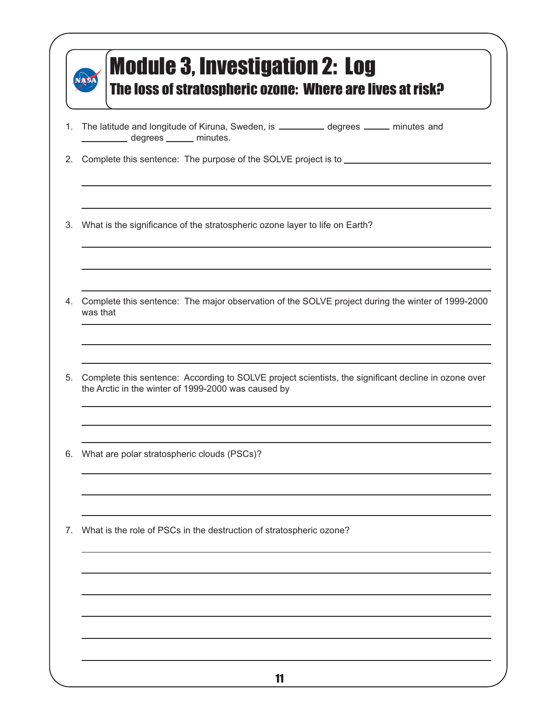| 1. | The latitude and longitude of Kiruna, Sweden, is ________ degrees _____ minutes and<br>degrees _______ minutes.                                             |  |  |  |
|----|-------------------------------------------------------------------------------------------------------------------------------------------------------------|--|--|--|
| 2. | Complete this sentence: The purpose of the SOLVE project is to <b>COLVE 1999</b> Complete this sentence: The purpose of the SOLVE project is to             |  |  |  |
| 3. | What is the significance of the stratospheric ozone layer to life on Earth?                                                                                 |  |  |  |
| 4. | Complete this sentence: The major observation of the SOLVE project during the winter of 1999-2000<br>was that                                               |  |  |  |
| 5. | Complete this sentence: According to SOLVE project scientists, the significant decline in ozone over<br>the Arctic in the winter of 1999-2000 was caused by |  |  |  |
| 6. | What are polar stratospheric clouds (PSCs)?                                                                                                                 |  |  |  |
| 7. | What is the role of PSCs in the destruction of stratospheric ozone?                                                                                         |  |  |  |
|    |                                                                                                                                                             |  |  |  |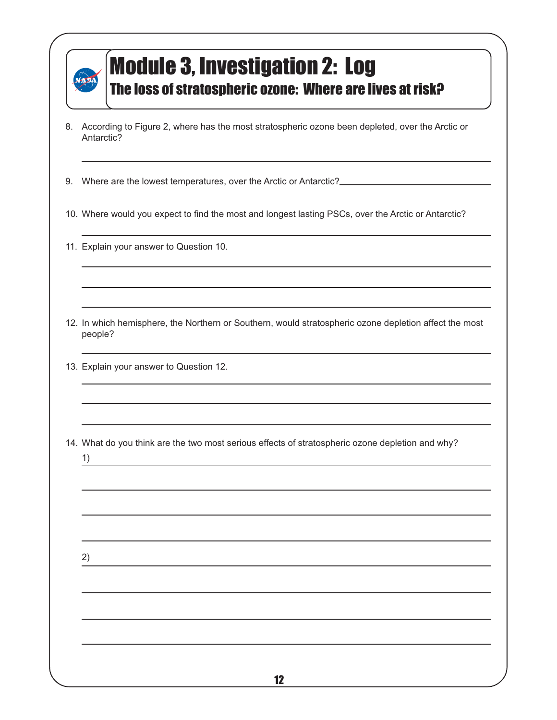

## Module 3, Investigation 2: Log

The loss of stratospheric ozone: Where are lives at risk?

8. According to Figure 2, where has the most stratospheric ozone been depleted, over the Arctic or Antarctic?

9. Where are the lowest temperatures, over the Arctic or Antarctic?

- 10. Where would you expect to find the most and longest lasting PSCs, over the Arctic or Antarctic?
- 11. Explain your answer to Question 10.

12. In which hemisphere, the Northern or Southern, would stratospheric ozone depletion affect the most people?

13. Explain your answer to Question 12.

14. What do you think are the two most serious effects of stratospheric ozone depletion and why?

1)

2)